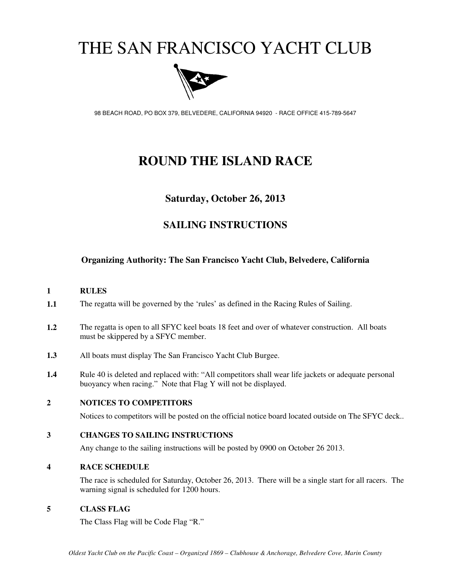# THE SAN FRANCISCO YACHT CLUB



98 BEACH ROAD, PO BOX 379, BELVEDERE, CALIFORNIA 94920 - RACE OFFICE 415-789-5647

# **ROUND THE ISLAND RACE**

### **Saturday, October 26, 2013**

### **SAILING INSTRUCTIONS**

#### **Organizing Authority: The San Francisco Yacht Club, Belvedere, California**

#### **1 RULES**

- **1.1** The regatta will be governed by the 'rules' as defined in the Racing Rules of Sailing.
- **1.2** The regatta is open to all SFYC keel boats 18 feet and over of whatever construction. All boats must be skippered by a SFYC member.
- **1.3** All boats must display The San Francisco Yacht Club Burgee.
- 1.4 Rule 40 is deleted and replaced with: "All competitors shall wear life jackets or adequate personal buoyancy when racing." Note that Flag Y will not be displayed.

#### **2 NOTICES TO COMPETITORS**

Notices to competitors will be posted on the official notice board located outside on The SFYC deck..

#### **3 CHANGES TO SAILING INSTRUCTIONS**

Any change to the sailing instructions will be posted by 0900 on October 26 2013.

#### **4 RACE SCHEDULE**

The race is scheduled for Saturday, October 26, 2013. There will be a single start for all racers. The warning signal is scheduled for 1200 hours.

#### **5 CLASS FLAG**

The Class Flag will be Code Flag "R."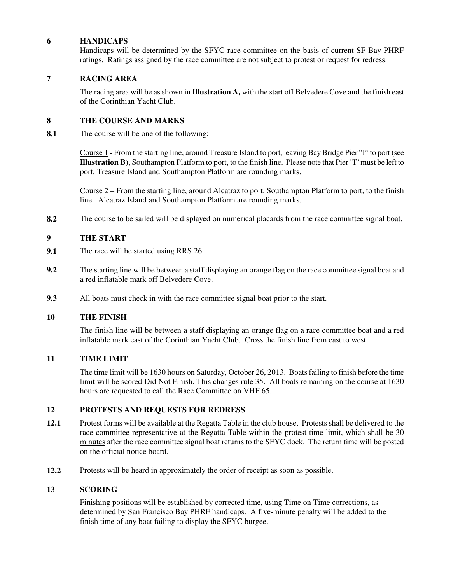#### **6 HANDICAPS**

Handicaps will be determined by the SFYC race committee on the basis of current SF Bay PHRF ratings. Ratings assigned by the race committee are not subject to protest or request for redress.

#### **7 RACING AREA**

The racing area will be as shown in **Illustration A,** with the start off Belvedere Cove and the finish east of the Corinthian Yacht Club.

#### **8 THE COURSE AND MARKS**

**8.1** The course will be one of the following:

Course 1 - From the starting line, around Treasure Island to port, leaving Bay Bridge Pier "I" to port (see **Illustration B**), Southampton Platform to port, to the finish line. Please note that Pier "I" must be left to port. Treasure Island and Southampton Platform are rounding marks.

Course 2 – From the starting line, around Alcatraz to port, Southampton Platform to port, to the finish line. Alcatraz Island and Southampton Platform are rounding marks.

**8.2** The course to be sailed will be displayed on numerical placards from the race committee signal boat.

#### **9 THE START**

- **9.1** The race will be started using RRS 26.
- **9.2** The starting line will be between a staff displaying an orange flag on the race committee signal boat and a red inflatable mark off Belvedere Cove.
- **9.3** All boats must check in with the race committee signal boat prior to the start.

#### **10 THE FINISH**

The finish line will be between a staff displaying an orange flag on a race committee boat and a red inflatable mark east of the Corinthian Yacht Club. Cross the finish line from east to west.

#### **11 TIME LIMIT**

The time limit will be 1630 hours on Saturday, October 26, 2013. Boats failing to finish before the time limit will be scored Did Not Finish. This changes rule 35. All boats remaining on the course at 1630 hours are requested to call the Race Committee on VHF 65.

#### **12 PROTESTS AND REQUESTS FOR REDRESS**

- **12.1** Protest forms will be available at the Regatta Table in the club house. Protests shall be delivered to the race committee representative at the Regatta Table within the protest time limit, which shall be 30 minutes after the race committee signal boat returns to the SFYC dock. The return time will be posted on the official notice board.
- **12.2** Protests will be heard in approximately the order of receipt as soon as possible.

#### **13 SCORING**

Finishing positions will be established by corrected time, using Time on Time corrections, as determined by San Francisco Bay PHRF handicaps. A five-minute penalty will be added to the finish time of any boat failing to display the SFYC burgee.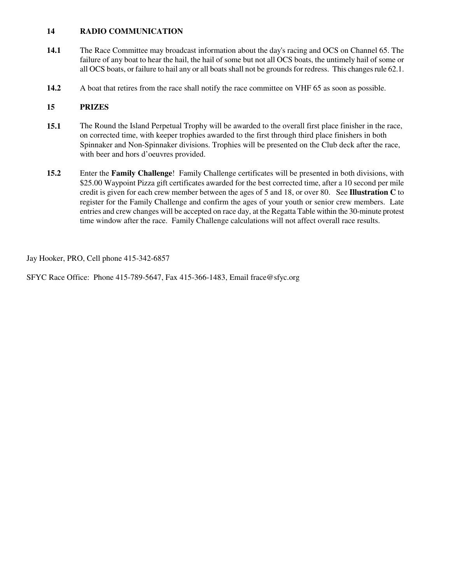#### **14 RADIO COMMUNICATION**

- **14.1** The Race Committee may broadcast information about the day's racing and OCS on Channel 65. The failure of any boat to hear the hail, the hail of some but not all OCS boats, the untimely hail of some or all OCS boats, or failure to hail any or all boats shall not be grounds for redress. This changes rule 62.1.
- **14.2** A boat that retires from the race shall notify the race committee on VHF 65 as soon as possible.

#### **15 PRIZES**

- **15.1** The Round the Island Perpetual Trophy will be awarded to the overall first place finisher in the race, on corrected time, with keeper trophies awarded to the first through third place finishers in both Spinnaker and Non-Spinnaker divisions. Trophies will be presented on the Club deck after the race, with beer and hors d'oeuvres provided.
- **15.2** Enter the **Family Challenge**! Family Challenge certificates will be presented in both divisions, with \$25.00 Waypoint Pizza gift certificates awarded for the best corrected time, after a 10 second per mile credit is given for each crew member between the ages of 5 and 18, or over 80. See **Illustration C** to register for the Family Challenge and confirm the ages of your youth or senior crew members. Late entries and crew changes will be accepted on race day, at the Regatta Table within the 30-minute protest time window after the race. Family Challenge calculations will not affect overall race results.

Jay Hooker, PRO, Cell phone 415-342-6857

SFYC Race Office: Phone 415-789-5647, Fax 415-366-1483, Email frace@sfyc.org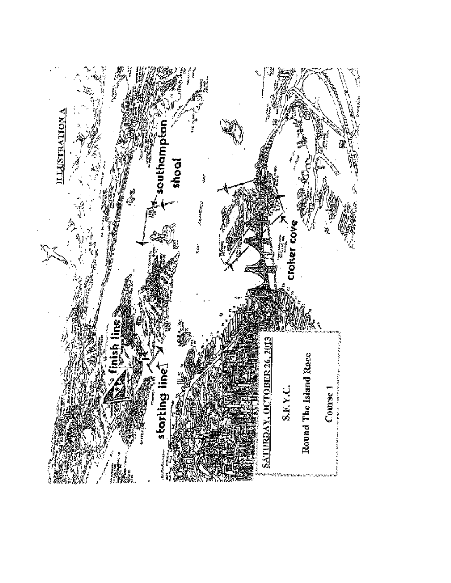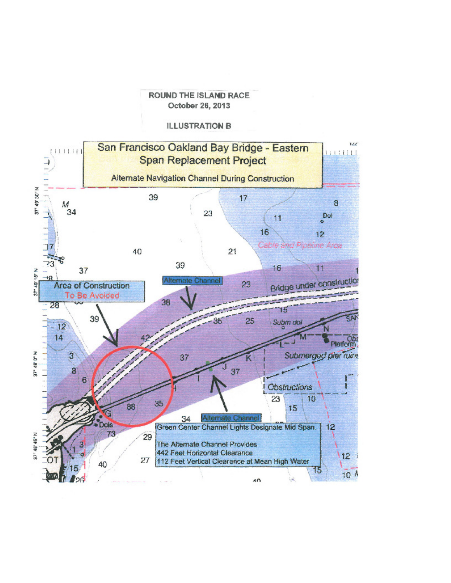#### **ROUND THE ISLAND RACE** October 26, 2013

#### **ILLUSTRATION B**